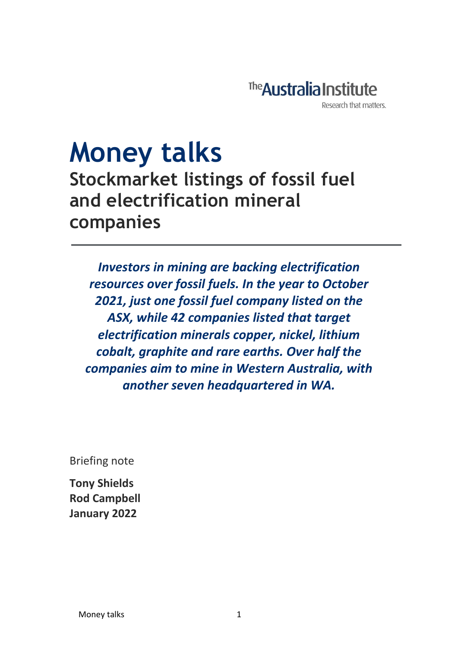

# **Money talks**

**Stockmarket listings of fossil fuel and electrification mineral companies**

*Investors in mining are backing electrification resources over fossil fuels. In the year to October 2021, just one fossil fuel company listed on the ASX, while 42 companies listed that target electrification minerals copper, nickel, lithium cobalt, graphite and rare earths. Over half the companies aim to mine in Western Australia, with another seven headquartered in WA.* 

Briefing note

**Tony Shields Rod Campbell January 2022**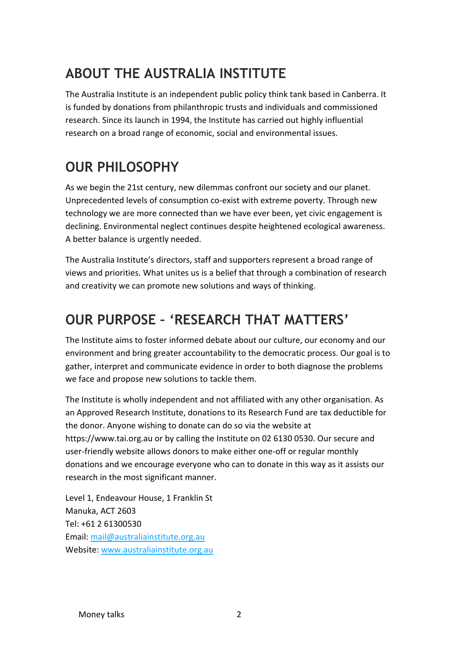### **ABOUT THE AUSTRALIA INSTITUTE**

The Australia Institute is an independent public policy think tank based in Canberra. It is funded by donations from philanthropic trusts and individuals and commissioned research. Since its launch in 1994, the Institute has carried out highly influential research on a broad range of economic, social and environmental issues.

## **OUR PHILOSOPHY**

As we begin the 21st century, new dilemmas confront our society and our planet. Unprecedented levels of consumption co-exist with extreme poverty. Through new technology we are more connected than we have ever been, yet civic engagement is declining. Environmental neglect continues despite heightened ecological awareness. A better balance is urgently needed.

The Australia Institute's directors, staff and supporters represent a broad range of views and priorities. What unites us is a belief that through a combination of research and creativity we can promote new solutions and ways of thinking.

#### **OUR PURPOSE – 'RESEARCH THAT MATTERS'**

The Institute aims to foster informed debate about our culture, our economy and our environment and bring greater accountability to the democratic process. Our goal is to gather, interpret and communicate evidence in order to both diagnose the problems we face and propose new solutions to tackle them.

The Institute is wholly independent and not affiliated with any other organisation. As an Approved Research Institute, donations to its Research Fund are tax deductible for the donor. Anyone wishing to donate can do so via the website at https://www.tai.org.au or by calling the Institute on 02 6130 0530. Our secure and user-friendly website allows donors to make either one-off or regular monthly donations and we encourage everyone who can to donate in this way as it assists our research in the most significant manner.

Level 1, Endeavour House, 1 Franklin St Manuka, ACT 2603 Tel: +61 2 61300530 Email[: mail@australiainstitute.org.au](mailto:mail@australiainstitute.org.au) Website: [www.australiainstitute.org.au](http://www.australiainstitute.org.au/)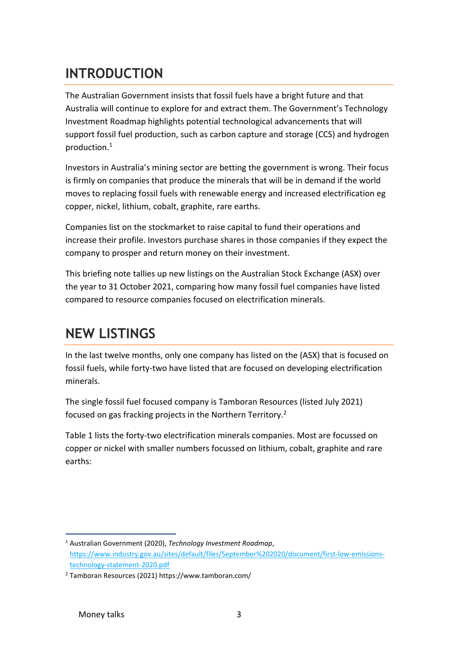#### **INTRODUCTION**

The Australian Government insists that fossil fuels have a bright future and that Australia will continue to explore for and extract them. The Government's Technology Investment Roadmap highlights potential technological advancements that will support fossil fuel production, such as carbon capture and storage (CCS) and hydrogen production.<sup>1</sup>

Investors in Australia's mining sector are betting the government is wrong. Their focus is firmly on companies that produce the minerals that will be in demand if the world moves to replacing fossil fuels with renewable energy and increased electrification eg copper, nickel, lithium, cobalt, graphite, rare earths.

Companies list on the stockmarket to raise capital to fund their operations and increase their profile. Investors purchase shares in those companies if they expect the company to prosper and return money on their investment.

This briefing note tallies up new listings on the Australian Stock Exchange (ASX) over the year to 31 October 2021, comparing how many fossil fuel companies have listed compared to resource companies focused on electrification minerals.

#### **NEW LISTINGS**

In the last twelve months, only one company has listed on the (ASX) that is focused on fossil fuels, while forty-two have listed that are focused on developing electrification minerals.

The single fossil fuel focused company is Tamboran Resources (listed July 2021) focused on gas fracking projects in the Northern Territory.<sup>2</sup>

Table 1 lists the forty-two electrification minerals companies. Most are focussed on copper or nickel with smaller numbers focussed on lithium, cobalt, graphite and rare earths:

<sup>1</sup> Australian Government (2020), *Technology Investment Roadmap*, [https://www.industry.gov.au/sites/default/files/September%202020/document/first-low-emissions](https://www.industry.gov.au/sites/default/files/September%202020/document/first-low-emissions-technology-statement-2020.pdf)[technology-statement-2020.pdf](https://www.industry.gov.au/sites/default/files/September%202020/document/first-low-emissions-technology-statement-2020.pdf) 

<sup>2</sup> Tamboran Resources (2021) https://www.tamboran.com/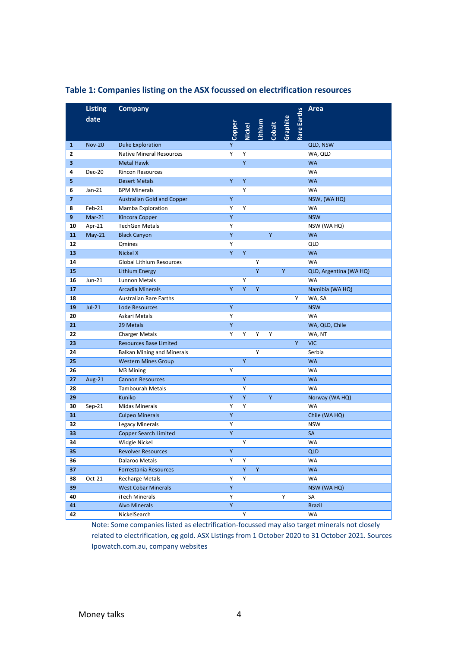|                         | <b>Listing</b> | <b>Company</b>                    |             |   |   |   |                                         |                    | Area                   |
|-------------------------|----------------|-----------------------------------|-------------|---|---|---|-----------------------------------------|--------------------|------------------------|
|                         | date           |                                   |             |   |   |   |                                         | <b>Rare Earths</b> |                        |
|                         |                |                                   | Copper      |   |   |   | Nickel<br>Lithium<br>Cobalt<br>Graphite |                    |                        |
|                         |                |                                   |             |   |   |   |                                         |                    |                        |
| 1                       | <b>Nov-20</b>  | <b>Duke Exploration</b>           | Ÿ           |   |   |   |                                         |                    | QLD, NSW               |
| 2                       |                | <b>Native Mineral Resources</b>   | Υ           | Υ |   |   |                                         |                    | WA, QLD                |
| 3                       |                | <b>Metal Hawk</b>                 |             | Y |   |   |                                         |                    | <b>WA</b>              |
| 4                       | <b>Dec-20</b>  | <b>Rincon Resources</b>           |             |   |   |   |                                         |                    | WA                     |
| 5                       |                | <b>Desert Metals</b>              | Y           | Υ |   |   |                                         |                    | <b>WA</b>              |
| 6                       | $Jan-21$       | <b>BPM Minerals</b>               |             | Υ |   |   |                                         |                    | <b>WA</b>              |
| $\overline{\mathbf{z}}$ |                | <b>Australian Gold and Copper</b> | Y           |   |   |   |                                         |                    | NSW, (WA HQ)           |
| 8                       | Feb-21         | Mamba Exploration                 | Y           | Y |   |   |                                         |                    | <b>WA</b>              |
| 9                       | $Mar-21$       | Kincora Copper                    | Υ           |   |   |   |                                         |                    | <b>NSW</b>             |
| 10                      | Apr-21         | <b>TechGen Metals</b>             | Y           |   |   |   |                                         |                    | NSW (WA HQ)            |
| 11                      | $May-21$       | <b>Black Canyon</b>               | Y           |   |   | Y |                                         |                    | <b>WA</b>              |
| 12                      |                | Qmines                            | Υ           |   |   |   |                                         |                    | <b>QLD</b>             |
| 13                      |                | Nickel X                          | Y           | Y |   |   |                                         |                    | <b>WA</b>              |
| 14                      |                | <b>Global Lithium Resources</b>   |             |   | Y |   |                                         |                    | <b>WA</b>              |
| 15                      |                | Lithium Energy                    |             |   | Y |   | Y                                       |                    | QLD, Argentina (WA HQ) |
| 16                      | $Jun-21$       | Lunnon Metals                     |             | Y |   |   |                                         |                    | <b>WA</b>              |
| 17                      |                | <b>Arcadia Minerals</b>           | Y           | Y | Y |   |                                         |                    | Namibia (WA HQ)        |
| 18                      |                | <b>Australian Rare Earths</b>     |             |   |   |   |                                         | Y                  | WA, SA                 |
| 19                      | $Jul-21$       | <b>Lode Resources</b>             | Υ           |   |   |   |                                         |                    | <b>NSW</b>             |
| 20                      |                | Askari Metals                     | Y           |   |   |   |                                         |                    | <b>WA</b>              |
| 21                      |                | 29 Metals                         | Y           |   |   |   |                                         |                    | WA, QLD, Chile         |
| 22                      |                | <b>Charger Metals</b>             | Y           | Y | Y | Υ |                                         |                    | WA, NT                 |
| 23                      |                | <b>Resources Base Limited</b>     |             |   |   |   |                                         | Y.                 | <b>VIC</b>             |
| 24                      |                | <b>Balkan Mining and Minerals</b> |             |   | Y |   |                                         |                    | Serbia                 |
| 25                      |                | <b>Western Mines Group</b>        |             | Y |   |   |                                         |                    | <b>WA</b>              |
| 26                      |                | M3 Mining                         | Y           |   |   |   |                                         |                    | <b>WA</b>              |
| 27                      | Aug-21         | <b>Cannon Resources</b>           |             | Y |   |   |                                         |                    | <b>WA</b>              |
| 28                      |                | <b>Tambourah Metals</b>           |             | Υ |   |   |                                         |                    | <b>WA</b>              |
| 29                      |                | Kuniko                            | Y           | Y |   | Y |                                         |                    | Norway (WA HQ)         |
| 30                      | $Sep-21$       | <b>Midas Minerals</b>             | Υ           | Υ |   |   |                                         |                    | WA                     |
| 31                      |                | <b>Culpeo Minerals</b>            | Υ           |   |   |   |                                         |                    | Chile (WA HQ)          |
| 32                      |                | <b>Legacy Minerals</b>            | Υ           |   |   |   |                                         |                    | <b>NSW</b>             |
| 33                      |                | <b>Copper Search Limited</b>      | Υ           |   |   |   |                                         |                    | <b>SA</b>              |
| 34                      |                | Widgie Nickel                     |             | Υ |   |   |                                         |                    | <b>WA</b>              |
| 35                      |                | <b>Revolver Resources</b>         | Y           |   |   |   |                                         |                    | <b>QLD</b>             |
| 36                      |                | Dalaroo Metals                    | Y           | Υ |   |   |                                         |                    | WA                     |
| 37                      |                | Forrestania Resources             |             | Y | Y |   |                                         |                    | <b>WA</b>              |
| 38                      | $Oct-21$       | <b>Recharge Metals</b>            | Υ           | Y |   |   |                                         |                    | <b>WA</b>              |
| 39                      |                | <b>West Cobar Minerals</b>        | Y           |   |   |   |                                         |                    | NSW (WA HQ)            |
| 40                      |                | iTech Minerals                    | Υ           |   |   |   | Υ                                       |                    | SA                     |
| 41                      |                | <b>Alvo Minerals</b>              | $\mathsf Y$ |   |   |   |                                         |                    | <b>Brazil</b>          |
| 42                      |                | NickelSearch                      |             | Υ |   |   |                                         |                    | WA                     |

#### **Table 1: Companies listing on the ASX focussed on electrification resources**

Note: Some companies listed as electrification-focussed may also target minerals not closely related to electrification, eg gold. ASX Listings from 1 October 2020 to 31 October 2021. Sources Ipowatch.com.au, company websites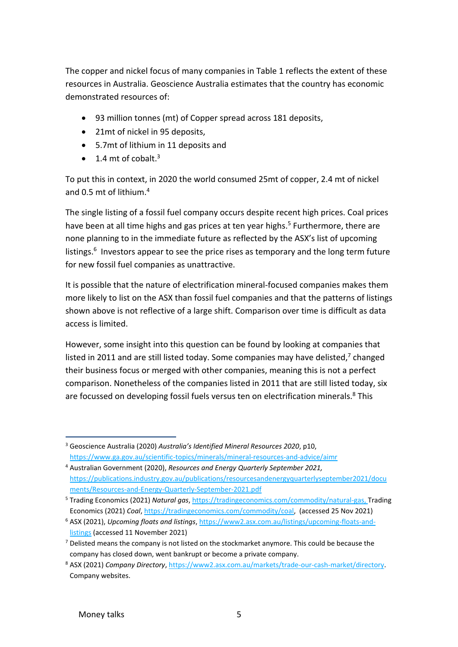The copper and nickel focus of many companies in Table 1 reflects the extent of these resources in Australia. Geoscience Australia estimates that the country has economic demonstrated resources of:

- 93 million tonnes (mt) of Copper spread across 181 deposits,
- 21mt of nickel in 95 deposits,
- 5.7mt of lithium in 11 deposits and
- $\bullet$  1.4 mt of cobalt.<sup>3</sup>

To put this in context, in 2020 the world consumed 25mt of copper, 2.4 mt of nickel and 0.5 mt of lithium. 4

The single listing of a fossil fuel company occurs despite recent high prices. Coal prices have been at all time highs and gas prices at ten year highs.<sup>5</sup> Furthermore, there are none planning to in the immediate future as reflected by the ASX's list of upcoming listings.<sup>6</sup> Investors appear to see the price rises as temporary and the long term future for new fossil fuel companies as unattractive.

It is possible that the nature of electrification mineral-focused companies makes them more likely to list on the ASX than fossil fuel companies and that the patterns of listings shown above is not reflective of a large shift. Comparison over time is difficult as data access is limited.

However, some insight into this question can be found by looking at companies that listed in 2011 and are still listed today. Some companies may have delisted,<sup>7</sup> changed their business focus or merged with other companies, meaning this is not a perfect comparison. Nonetheless of the companies listed in 2011 that are still listed today, six are focussed on developing fossil fuels versus ten on electrification minerals.<sup>8</sup> This

<sup>3</sup> Geoscience Australia (2020) *Australia's Identified Mineral Resources 2020*, p10, <https://www.ga.gov.au/scientific-topics/minerals/mineral-resources-and-advice/aimr>

<sup>4</sup> Australian Government (2020), *Resources and Energy Quarterly September 2021,* [https://publications.industry.gov.au/publications/resourcesandenergyquarterlyseptember2021/docu](https://publications.industry.gov.au/publications/resourcesandenergyquarterlyseptember2021/documents/Resources-and-Energy-Quarterly-September-2021.pdf) [ments/Resources-and-Energy-Quarterly-September-2021.pdf](https://publications.industry.gov.au/publications/resourcesandenergyquarterlyseptember2021/documents/Resources-and-Energy-Quarterly-September-2021.pdf) 

<sup>5</sup> Trading Economics (2021) *Natural gas*, [https://tradingeconomics.com/commodity/natural-gas,](https://tradingeconomics.com/commodity/natural-gas) Trading Economics (2021) *Coal*[, https://tradingeconomics.com/commodity/coal,](https://tradingeconomics.com/commodity/coal) (accessed 25 Nov 2021)

<sup>6</sup> ASX (2021), *Upcoming floats and listings*, [https://www2.asx.com.au/listings/upcoming-floats-and](https://www2.asx.com.au/listings/upcoming-floats-and-listings)[listings](https://www2.asx.com.au/listings/upcoming-floats-and-listings) (accessed 11 November 2021)

 $<sup>7</sup>$  Delisted means the company is not listed on the stockmarket anymore. This could be because the</sup> company has closed down, went bankrupt or become a private company.

<sup>8</sup> ASX (2021) *Company Directory*[, https://www2.asx.com.au/markets/trade-our-cash-market/directory.](https://www2.asx.com.au/markets/trade-our-cash-market/directory) Company websites.